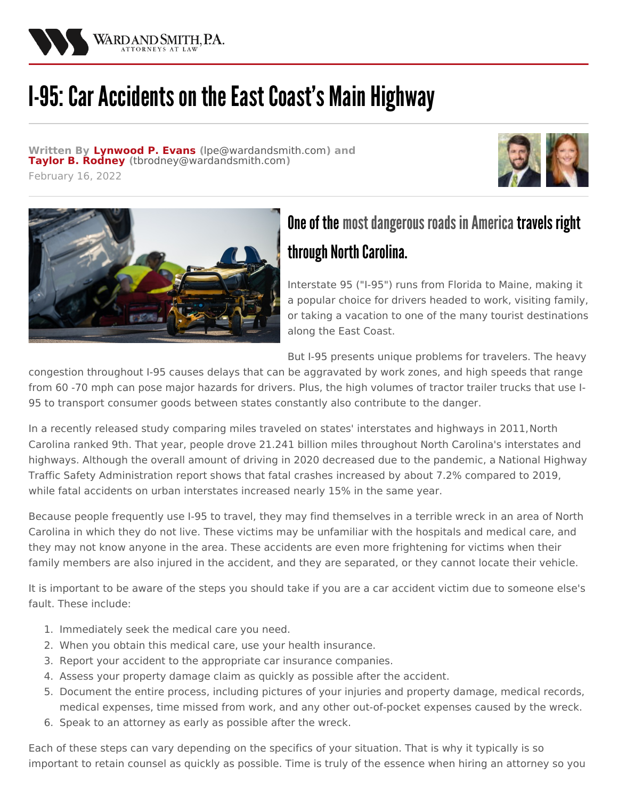

## **I-95: Car Accidents on the East Coast's Main Highway**

**Written By [Lynwood](/attorneys/lynwood-evans) P. Evans (**[lpe@wardandsmith.com](mailto:lpe@wardandsmith.com)**) and Taylor B. [Rodney](/attorneys/taylor-rodney) (**[tbrodney@wardandsmith.com](mailto:tbrodney@wardandsmith.com)**)**







## One of the most dangerous roads in America travels right through North Carolina.

Interstate 95 ("I-95") runs from Florida to Maine, making it a popular choice for drivers headed to work, visiting family, or taking a vacation to one of the many tourist destinations along the East Coast.

But I-95 presents unique problems for travelers. The heavy

congestion throughout I-95 causes delays that can be aggravated by work zones, and high speeds that range from 60 -70 mph can pose major hazards for drivers. Plus, the high volumes of tractor trailer trucks that use I-95 to transport consumer goods between states constantly also contribute to the danger.

In a recently released study comparing miles traveled on states' interstates and highways in [2011,North](https://www.transportation.gov/briefing-room/new-fhwa-report-reveals-states-busiest-highways) Carolina ranked 9th. That year, people drove 21.241 billion miles throughout North Carolina's interstates and highways. Although the overall amount of driving in 2020 decreased due to the pandemic, a National Highway Traffic Safety [Administration](https://www.nhtsa.gov/press-releases/2020-fatality-data-show-increased-traffic-fatalities-during-pandemic) report shows that fatal crashes increased by about 7.2% compared to 2019, while fatal accidents on urban interstates increased nearly 15% in the same year.

Because people frequently use I-95 to travel, they may find themselves in a terrible wreck in an area of North Carolina in which they do not live. These victims may be unfamiliar with the hospitals and medical care, and they may not know anyone in the area. These accidents are even more frightening for victims when their family members are also injured in the accident, and they are separated, or they cannot locate their vehicle.

It is important to be aware of the steps you should take if you are a car accident victim due to someone else's fault. These include:

- 1. Immediately seek the medical care you need.
- 2. When you obtain this medical care, use your health insurance.
- 3. Report your accident to the appropriate car insurance companies.
- 4. Assess your property damage claim as quickly as possible after the accident.
- 5. Document the entire process, including pictures of your injuries and property damage, medical records, medical expenses, time missed from work, and any other out-of-pocket expenses caused by the wreck.
- 6. Speak to an attorney as early as possible after the wreck.

Each of these steps can vary depending on the specifics of your situation. That is why it typically is so important to retain counsel as quickly as possible. Time is truly of the essence when hiring an attorney so you